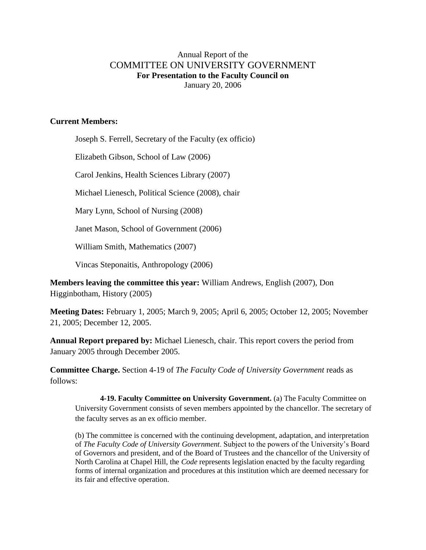## Annual Report of the COMMITTEE ON UNIVERSITY GOVERNMENT **For Presentation to the Faculty Council on** January 20, 2006

## **Current Members:**

Joseph S. Ferrell, Secretary of the Faculty (ex officio)

Elizabeth Gibson, School of Law (2006)

Carol Jenkins, Health Sciences Library (2007)

Michael Lienesch, Political Science (2008), chair

Mary Lynn, School of Nursing (2008)

Janet Mason, School of Government (2006)

William Smith, Mathematics (2007)

Vincas Steponaitis, Anthropology (2006)

**Members leaving the committee this year:** William Andrews, English (2007), Don Higginbotham, History (2005)

**Meeting Dates:** February 1, 2005; March 9, 2005; April 6, 2005; October 12, 2005; November 21, 2005; December 12, 2005.

**Annual Report prepared by:** Michael Lienesch, chair. This report covers the period from January 2005 through December 2005.

**Committee Charge.** Section 4-19 of *The Faculty Code of University Government* reads as follows:

**4-19. Faculty Committee on University Government.** (a) The Faculty Committee on University Government consists of seven members appointed by the chancellor. The secretary of the faculty serves as an ex officio member.

(b) The committee is concerned with the continuing development, adaptation, and interpretation of *The Faculty Code of University Government*. Subject to the powers of the University's Board of Governors and president, and of the Board of Trustees and the chancellor of the University of North Carolina at Chapel Hill, the *Code* represents legislation enacted by the faculty regarding forms of internal organization and procedures at this institution which are deemed necessary for its fair and effective operation.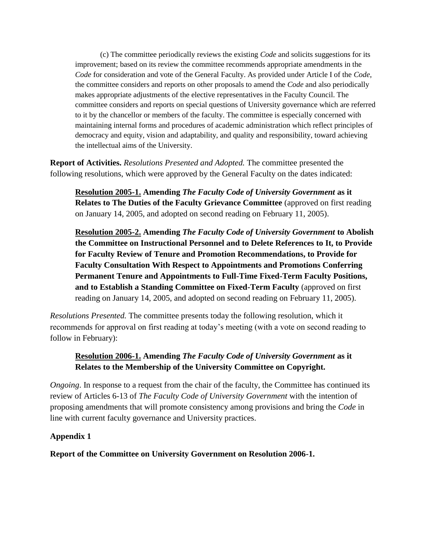(c) The committee periodically reviews the existing *Code* and solicits suggestions for its improvement; based on its review the committee recommends appropriate amendments in the *Code* for consideration and vote of the General Faculty. As provided under Article I of the *Code*, the committee considers and reports on other proposals to amend the *Code* and also periodically makes appropriate adjustments of the elective representatives in the Faculty Council. The committee considers and reports on special questions of University governance which are referred to it by the chancellor or members of the faculty. The committee is especially concerned with maintaining internal forms and procedures of academic administration which reflect principles of democracy and equity, vision and adaptability, and quality and responsibility, toward achieving the intellectual aims of the University.

**Report of Activities.** *Resolutions Presented and Adopted.* The committee presented the following resolutions, which were approved by the General Faculty on the dates indicated:

**Resolution 2005-1. Amending** *The Faculty Code of University Government* **as it Relates to The Duties of the Faculty Grievance Committee** (approved on first reading on January 14, 2005, and adopted on second reading on February 11, 2005).

**Resolution 2005-2. Amending** *The Faculty Code of University Government* **to Abolish the Committee on Instructional Personnel and to Delete References to It, to Provide for Faculty Review of Tenure and Promotion Recommendations, to Provide for Faculty Consultation With Respect to Appointments and Promotions Conferring Permanent Tenure and Appointments to Full-Time Fixed-Term Faculty Positions, and to Establish a Standing Committee on Fixed-Term Faculty** (approved on first reading on January 14, 2005, and adopted on second reading on February 11, 2005).

*Resolutions Presented.* The committee presents today the following resolution, which it recommends for approval on first reading at today's meeting (with a vote on second reading to follow in February):

## **Resolution 2006-1. Amending** *The Faculty Code of University Government* **as it Relates to the Membership of the University Committee on Copyright.**

*Ongoing*. In response to a request from the chair of the faculty, the Committee has continued its review of Articles 6-13 of *The Faculty Code of University Government* with the intention of proposing amendments that will promote consistency among provisions and bring the *Code* in line with current faculty governance and University practices.

## **Appendix 1**

**Report of the Committee on University Government on Resolution 2006-1.**